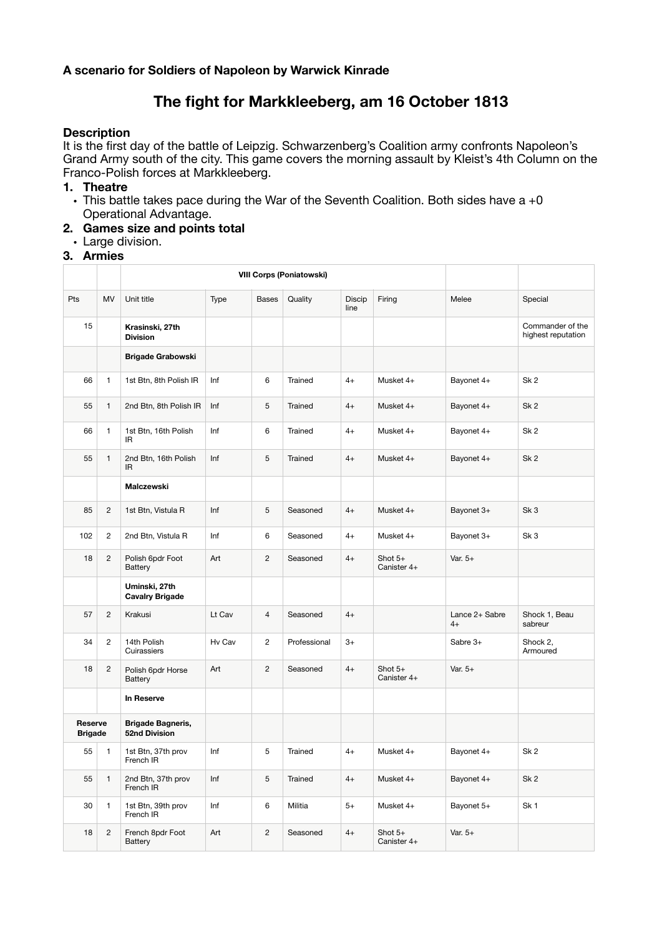#### **A scenario for Soldiers of Napoleon by Warwick Kinrade**

# **The fight for Markkleeberg, am 16 October 1813**

#### **Description**

It is the first day of the battle of Leipzig. Schwarzenberg's Coalition army confronts Napoleon's Grand Army south of the city. This game covers the morning assault by Kleist's 4th Column on the Franco-Polish forces at Markkleeberg.

#### **1. Theatre**

- $\cdot$  This battle takes pace during the War of the Seventh Coalition. Both sides have a  $+0$ Operational Advantage.
- **2. Games size and points total** 
	- Large division.

# **3. Armies**

|                           |                |                                           | <b>VIII Corps (Poniatowski)</b> |                |              |                |                          |                        |                                        |
|---------------------------|----------------|-------------------------------------------|---------------------------------|----------------|--------------|----------------|--------------------------|------------------------|----------------------------------------|
| Pts                       | MV             | Unit title                                | Type                            | <b>Bases</b>   | Quality      | Discip<br>line | Firing                   | Melee                  | Special                                |
| 15                        |                | Krasinski, 27th<br><b>Division</b>        |                                 |                |              |                |                          |                        | Commander of the<br>highest reputation |
|                           |                | <b>Brigade Grabowski</b>                  |                                 |                |              |                |                          |                        |                                        |
| 66                        | $\mathbf{1}$   | 1st Btn, 8th Polish IR                    | Inf                             | 6              | Trained      | $4+$           | Musket 4+                | Bayonet 4+             | Sk <sub>2</sub>                        |
| 55                        | $\mathbf{1}$   | 2nd Btn, 8th Polish IR                    | Inf                             | 5              | Trained      | $4+$           | Musket 4+                | Bayonet 4+             | Sk <sub>2</sub>                        |
| 66                        | $\mathbf{1}$   | 1st Btn, 16th Polish<br>IR.               | Inf                             | 6              | Trained      | $4+$           | Musket 4+                | Bayonet 4+             | Sk <sub>2</sub>                        |
| 55                        | $\mathbf{1}$   | 2nd Btn, 16th Polish<br><b>IR</b>         | Inf                             | 5              | Trained      | $4+$           | Musket 4+                | Bayonet 4+             | Sk <sub>2</sub>                        |
|                           |                | Malczewski                                |                                 |                |              |                |                          |                        |                                        |
| 85                        | $\overline{2}$ | 1st Btn, Vistula R                        | Inf                             | 5              | Seasoned     | $4+$           | Musket 4+                | Bayonet 3+             | Sk <sub>3</sub>                        |
| 102                       | $\overline{c}$ | 2nd Btn, Vistula R                        | Inf                             | 6              | Seasoned     | $4+$           | Musket 4+                | Bayonet 3+             | Sk <sub>3</sub>                        |
| 18                        | $\overline{2}$ | Polish 6pdr Foot<br>Battery               | Art                             | $\overline{2}$ | Seasoned     | $4+$           | Shot $5+$<br>Canister 4+ | Var. $5+$              |                                        |
|                           |                | Uminski, 27th<br><b>Cavalry Brigade</b>   |                                 |                |              |                |                          |                        |                                        |
| 57                        | $\overline{c}$ | Krakusi                                   | Lt Cav                          | $\overline{4}$ | Seasoned     | $4+$           |                          | Lance 2+ Sabre<br>$4+$ | Shock 1, Beau<br>sabreur               |
| 34                        | $\overline{c}$ | 14th Polish<br>Cuirassiers                | Hv Cav                          | $\overline{c}$ | Professional | $3+$           |                          | Sabre 3+               | Shock 2,<br>Armoured                   |
| 18                        | $\overline{c}$ | Polish 6pdr Horse<br><b>Battery</b>       | Art                             | $\overline{2}$ | Seasoned     | $4+$           | Shot $5+$<br>Canister 4+ | Var. $5+$              |                                        |
|                           |                | In Reserve                                |                                 |                |              |                |                          |                        |                                        |
| Reserve<br><b>Brigade</b> |                | <b>Brigade Bagneris,</b><br>52nd Division |                                 |                |              |                |                          |                        |                                        |
| 55                        | 1              | 1st Btn, 37th prov<br>French IR           | Inf                             | 5              | Trained      | $4+$           | Musket 4+                | Bayonet 4+             | Sk <sub>2</sub>                        |
| 55                        | $\mathbf{1}$   | 2nd Btn, 37th prov<br>French IR           | Inf                             | 5              | Trained      | $4+$           | Musket 4+                | Bayonet 4+             | Sk <sub>2</sub>                        |
| 30                        | $\mathbf{1}$   | 1st Btn, 39th prov<br>French IR           | Inf                             | 6              | Militia      | $5+$           | Musket 4+                | Bayonet 5+             | Sk <sub>1</sub>                        |
| 18                        | $\overline{c}$ | French 8pdr Foot<br>Battery               | Art                             | $\overline{2}$ | Seasoned     | $4+$           | Shot $5+$<br>Canister 4+ | Var. $5+$              |                                        |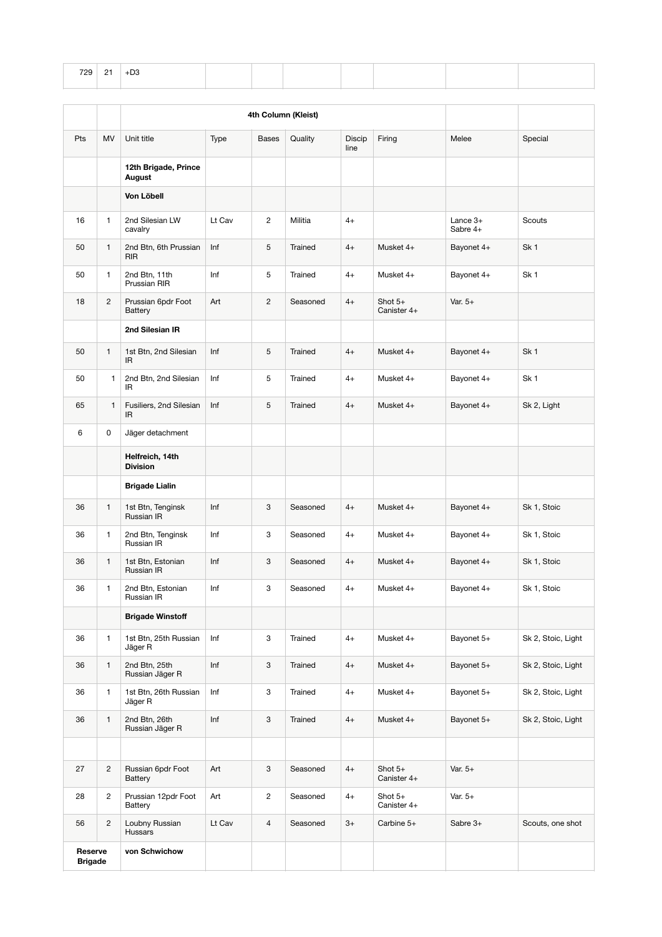| 729 | 21 | $+D3$ |  |  |  |  |
|-----|----|-------|--|--|--|--|
|     |    |       |  |  |  |  |

|                           |                |                                       | 4th Column (Kleist) |                |          |                |                          |                        |                    |
|---------------------------|----------------|---------------------------------------|---------------------|----------------|----------|----------------|--------------------------|------------------------|--------------------|
| Pts                       | MV             | Unit title                            | Type                | <b>Bases</b>   | Quality  | Discip<br>line | Firing                   | Melee                  | Special            |
|                           |                | 12th Brigade, Prince<br>August        |                     |                |          |                |                          |                        |                    |
|                           |                | Von Löbell                            |                     |                |          |                |                          |                        |                    |
| 16                        | $\mathbf{1}$   | 2nd Silesian LW<br>cavalry            | Lt Cav              | $\overline{2}$ | Militia  | $4+$           |                          | Lance $3+$<br>Sabre 4+ | Scouts             |
| 50                        | $\mathbf{1}$   | 2nd Btn, 6th Prussian<br><b>RIR</b>   | Inf                 | 5              | Trained  | $4+$           | Musket 4+                | Bayonet 4+             | Sk <sub>1</sub>    |
| 50                        | $\mathbf{1}$   | 2nd Btn, 11th<br>Prussian RIR         | Inf                 | 5              | Trained  | $4+$           | Musket 4+                | Bayonet 4+             | Sk <sub>1</sub>    |
| 18                        | $\overline{2}$ | Prussian 6pdr Foot<br>Battery         | Art                 | $\overline{c}$ | Seasoned | $4+$           | Shot $5+$<br>Canister 4+ | Var. $5+$              |                    |
|                           |                | 2nd Silesian IR                       |                     |                |          |                |                          |                        |                    |
| 50                        | $\mathbf{1}$   | 1st Btn, 2nd Silesian<br>IR.          | Inf                 | 5              | Trained  | $4+$           | Musket 4+                | Bayonet 4+             | Sk <sub>1</sub>    |
| 50                        | 1              | 2nd Btn, 2nd Silesian<br>IR           | Inf                 | 5              | Trained  | 4+             | Musket 4+                | Bayonet 4+             | Sk <sub>1</sub>    |
| 65                        | 1              | Fusiliers, 2nd Silesian<br>IR.        | Inf                 | 5              | Trained  | $4+$           | Musket 4+                | Bayonet 4+             | Sk 2, Light        |
| 6                         | 0              | Jäger detachment                      |                     |                |          |                |                          |                        |                    |
|                           |                | Helfreich, 14th<br><b>Division</b>    |                     |                |          |                |                          |                        |                    |
|                           |                | <b>Brigade Lialin</b>                 |                     |                |          |                |                          |                        |                    |
| 36                        | $\mathbf{1}$   | 1st Btn, Tenginsk<br>Russian IR       | Inf                 | 3              | Seasoned | $4+$           | Musket 4+                | Bayonet 4+             | Sk 1, Stoic        |
| 36                        | $\mathbf{1}$   | 2nd Btn, Tenginsk<br>Russian IR       | Inf                 | 3              | Seasoned | $4+$           | Musket 4+                | Bayonet 4+             | Sk 1, Stoic        |
| 36                        | $\mathbf{1}$   | 1st Btn, Estonian<br>Russian IR       | Inf                 | 3              | Seasoned | $4+$           | Musket 4+                | Bayonet 4+             | Sk 1, Stoic        |
| 36                        | $\mathbf{1}$   | 2nd Btn, Estonian<br>Russian IR       | Inf                 | 3              | Seasoned | $4+$           | Musket 4+                | Bayonet 4+             | Sk 1, Stoic        |
|                           |                | <b>Brigade Winstoff</b>               |                     |                |          |                |                          |                        |                    |
| 36                        | $\mathbf{1}$   | 1st Btn, 25th Russian<br>Jäger R      | Inf                 | 3              | Trained  | $4+$           | Musket 4+                | Bayonet 5+             | Sk 2, Stoic, Light |
| 36                        | $\mathbf{1}$   | 2nd Btn, 25th<br>Russian Jäger R      | Inf                 | 3              | Trained  | $4+$           | Musket 4+                | Bayonet 5+             | Sk 2, Stoic, Light |
| 36                        | 1              | 1st Btn, 26th Russian<br>Jäger R      | Inf                 | 3              | Trained  | $4+$           | Musket 4+                | Bayonet 5+             | Sk 2, Stoic, Light |
| 36                        | $\mathbf{1}$   | 2nd Btn, 26th<br>Russian Jäger R      | Inf                 | 3              | Trained  | $4+$           | Musket 4+                | Bayonet 5+             | Sk 2, Stoic, Light |
|                           |                |                                       |                     |                |          |                |                          |                        |                    |
| 27                        | $\overline{c}$ | Russian 6pdr Foot<br><b>Battery</b>   | Art                 | 3              | Seasoned | $4+$           | Shot $5+$<br>Canister 4+ | Var. $5+$              |                    |
| 28                        | $\overline{2}$ | Prussian 12pdr Foot<br><b>Battery</b> | Art                 | $\overline{c}$ | Seasoned | $4+$           | Shot $5+$<br>Canister 4+ | Var. $5+$              |                    |
| 56                        | $\overline{c}$ | Loubny Russian<br>Hussars             | Lt Cav              | $\overline{4}$ | Seasoned | $3+$           | Carbine 5+               | Sabre 3+               | Scouts, one shot   |
| Reserve<br><b>Brigade</b> |                | von Schwichow                         |                     |                |          |                |                          |                        |                    |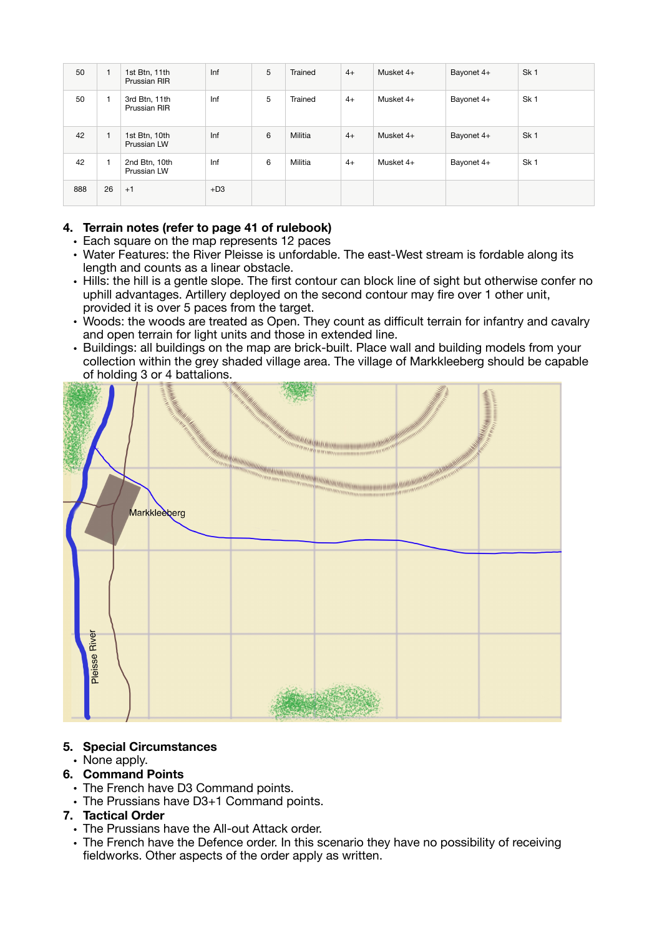| 50  | 1            | 1st Btn, 11th<br>Prussian RIR | Inf   | 5 | Trained | $4+$ | Musket 4+ | Bayonet 4+ | Sk <sub>1</sub> |
|-----|--------------|-------------------------------|-------|---|---------|------|-----------|------------|-----------------|
| 50  |              | 3rd Btn, 11th<br>Prussian RIR | Inf   | 5 | Trained | $4+$ | Musket 4+ | Bayonet 4+ | Sk <sub>1</sub> |
| 42  | $\mathbf{1}$ | 1st Btn, 10th<br>Prussian LW  | Inf   | 6 | Militia | $4+$ | Musket 4+ | Bayonet 4+ | Sk <sub>1</sub> |
| 42  |              | 2nd Btn, 10th<br>Prussian LW  | Inf   | 6 | Militia | $4+$ | Musket 4+ | Bayonet 4+ | Sk <sub>1</sub> |
| 888 | 26           | $+1$                          | $+D3$ |   |         |      |           |            |                 |

## **4. Terrain notes (refer to page 41 of rulebook)**

- Each square on the map represents 12 paces
- Water Features: the River Pleisse is unfordable. The east-West stream is fordable along its length and counts as a linear obstacle.
- Hills: the hill is a gentle slope. The first contour can block line of sight but otherwise confer no uphill advantages. Artillery deployed on the second contour may fire over 1 other unit, provided it is over 5 paces from the target.
- Woods: the woods are treated as Open. They count as difficult terrain for infantry and cavalry and open terrain for light units and those in extended line.
- Buildings: all buildings on the map are brick-built. Place wall and building models from your collection within the grey shaded village area. The village of Markkleeberg should be capable of holding 3 or 4 battalions.



#### **5. Special Circumstances**

#### • None apply.

- **6. Command Points** 
	- The French have D3 Command points.
	- The Prussians have D3+1 Command points.

## **7. Tactical Order**

- The Prussians have the All-out Attack order.
- The French have the Defence order. In this scenario they have no possibility of receiving fieldworks. Other aspects of the order apply as written.